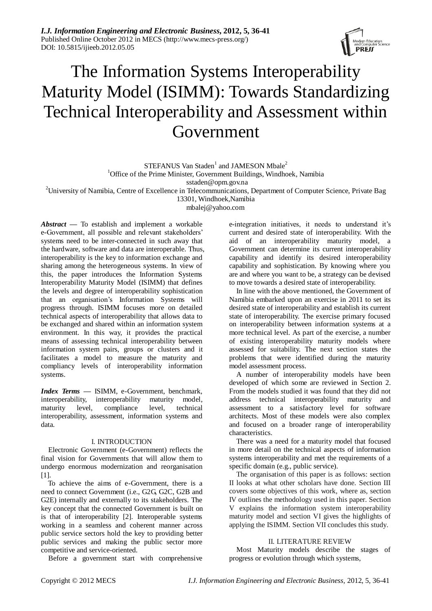*I.J. Information Engineering and Electronic Business***, 2012, 5, 36-41** Published Online October 2012 in MECS (http://www.mecs-press.org/) DOI: 10.5815/ijieeb.2012.05.05



# The Information Systems Interoperability Maturity Model (ISIMM): Towards Standardizing Technical Interoperability and Assessment within Government

 $STEFANUS$  Van Staden<sup>1</sup> and JAMESON Mbale<sup>2</sup>

<sup>1</sup>Office of the Prime Minister, Government Buildings, Windhoek, Namibia

[sstaden@opm.gov.na](mailto:sstaden@opm.gov.na)

<sup>2</sup>University of Namibia, Centre of Excellence in Telecommunications, Department of Computer Science, Private Bag

13301, Windhoek,Namibia [mbalej@yahoo.com](mailto:mbalej@yahoo.com)

*Abstract —* To establish and implement a workable e-Government, all possible and relevant stakeholders' systems need to be inter-connected in such away that the hardware, software and data are interoperable. Thus, interoperability is the key to information exchange and sharing among the heterogeneous systems. In view of this, the paper introduces the Information Systems Interoperability Maturity Model (ISIMM) that defines the levels and degree of interoperability sophistication that an organisation's Information Systems will progress through. ISIMM focuses more on detailed technical aspects of interoperability that allows data to be exchanged and shared within an information system environment. In this way, it provides the practical means of assessing technical interoperability between information system pairs, groups or clusters and it facilitates a model to measure the maturity and compliancy levels of interoperability information systems.

*Index Terms —* ISIMM, e-Government, benchmark, interoperability, interoperability maturity model, maturity level, compliance level, technical interoperability, assessment, information systems and data.

#### I. INTRODUCTION

Electronic Government (e-Government) reflects the final vision for Governments that will allow them to undergo enormous modernization and reorganisation [1].

To achieve the aims of e-Government, there is a need to connect Government (i.e., G2G, G2C, G2B and G2E) internally and externally to its stakeholders. The key concept that the connected Government is built on is that of interoperability [2]. Interoperable systems working in a seamless and coherent manner across public service sectors hold the key to providing better public services and making the public sector more competitive and service-oriented.

Before a government start with comprehensive

e-integration initiatives, it needs to understand it's current and desired state of interoperability. With the aid of an interoperability maturity model, a Government can determine its current interoperability capability and identify its desired interoperability capability and sophistication. By knowing where you are and where you want to be, a strategy can be devised to move towards a desired state of interoperability.

In line with the above mentioned, the Government of Namibia embarked upon an exercise in 2011 to set its desired state of interoperability and establish its current state of interoperability. The exercise primary focused on interoperability between information systems at a more technical level. As part of the exercise, a number of existing interoperability maturity models where assessed for suitability. The next section states the problems that were identified during the maturity model assessment process.

A number of interoperability models have been developed of which some are reviewed in Section 2. From the models studied it was found that they did not address technical interoperability maturity and assessment to a satisfactory level for software architects. Most of these models were also complex and focused on a broader range of interoperability characteristics.

There was a need for a maturity model that focused in more detail on the technical aspects of information systems interoperability and met the requirements of a specific domain (e.g., public service).

The organisation of this paper is as follows: section II looks at what other scholars have done. Section III covers some objectives of this work, where as, section IV outlines the methodology used in this paper. Section V explains the information system interoperability maturity model and section VI gives the highlights of applying the ISIMM. Section VII concludes this study.

#### II. LITERATURE REVIEW

Most Maturity models describe the stages of progress or evolution through which systems,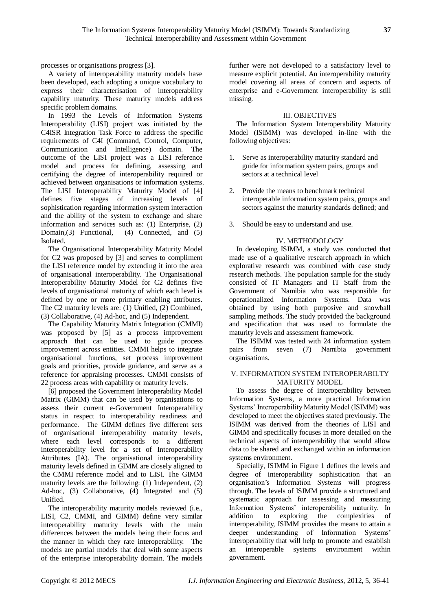processes or organisations progress [3].

A variety of interoperability maturity models have been developed, each adopting a unique vocabulary to express their characterisation of interoperability capability maturity. These maturity models address specific problem domains.

In 1993 the Levels of Information Systems Interoperability (LISI) project was initiated by the C4ISR Integration Task Force to address the specific requirements of C4I (Command, Control, Computer, Communication and Intelligence) domain. The outcome of the LISI project was a LISI reference model and process for defining, assessing and certifying the degree of interoperability required or achieved between organisations or information systems. The LISI Interoperability Maturity Model of [4] defines five stages of increasing levels of sophistication regarding information system interaction and the ability of the system to exchange and share information and services such as: (1) Enterprise, (2) Domain,(3) Functional, (4) Connected, and (5) Isolated.

The Organisational Interoperability Maturity Model for C2 was proposed by [3] and serves to compliment the LISI reference model by extending it into the area of organisational interoperability. The Organisational Interoperability Maturity Model for C2 defines five levels of organisational maturity of which each level is defined by one or more primary enabling attributes. The C2 maturity levels are: (1) Unified, (2) Combined, (3) Collaborative, (4) Ad-hoc, and (5) Independent.

The Capability Maturity Matrix Integration (CMMI) was proposed by [5] as a process improvement approach that can be used to guide process improvement across entities. CMMI helps to integrate organisational functions, set process improvement goals and priorities, provide guidance, and serve as a reference for appraising processes. CMMI consists of 22 process areas with capability or maturity levels.

[6] proposed the Government Interoperability Model Matrix (GIMM) that can be used by organisations to assess their current e-Government Interoperability status in respect to interoperability readiness and performance. The GIMM defines five different sets of organisational interoperability maturity levels, where each level corresponds to a different interoperability level for a set of Interoperability Attributes (IA). The organisational interoperability maturity levels defined in GIMM are closely aligned to the CMMI reference model and to LISI. The GIMM maturity levels are the following: (1) Independent, (2) Ad-hoc, (3) Collaborative, (4) Integrated and (5) Unified.

The interoperability maturity models reviewed (i.e., LISI, C2, CMMI, and GIMM) define very similar interoperability maturity levels with the main differences between the models being their focus and the manner in which they rate interoperability. The models are partial models that deal with some aspects of the enterprise interoperability domain. The models

further were not developed to a satisfactory level to measure explicit potential. An interoperability maturity model covering all areas of concern and aspects of enterprise and e-Government interoperability is still missing.

## III. OBJECTIVES

The Information System Interoperability Maturity Model (ISIMM) was developed in-line with the following objectives:

- 1. Serve as interoperability maturity standard and guide for information system pairs, groups and sectors at a technical level
- 2. Provide the means to benchmark technical interoperable information system pairs, groups and sectors against the maturity standards defined; and
- 3. Should be easy to understand and use.

## IV. METHODOLOGY

In developing ISIMM, a study was conducted that made use of a qualitative research approach in which explorative research was combined with case study research methods. The population sample for the study consisted of IT Managers and IT Staff from the Government of Namibia who was responsible for operationalized Information Systems. Data was obtained by using both purposive and snowball sampling methods. The study provided the background and specification that was used to formulate the maturity levels and assessment framework.

The ISIMM was tested with 24 information system pairs from seven (7) Namibia government organisations.

### V. INFORMATION SYSTEM INTEROPERABILTY MATURITY MODEL

To assess the degree of interoperability between Information Systems, a more practical Information Systems' Interoperability Maturity Model (ISIMM) was developed to meet the objectives stated previously. The ISIMM was derived from the theories of LISI and GIMM and specifically focuses in more detailed on the technical aspects of interoperability that would allow data to be shared and exchanged within an information systems environment.

Specially, ISIMM in Figure 1 defines the levels and degree of interoperability sophistication that an organisation's Information Systems will progress through. The levels of ISIMM provide a structured and systematic approach for assessing and measuring Information Systems' interoperability maturity. In addition to exploring the complexities of interoperability, ISIMM provides the means to attain a deeper understanding of Information Systems' interoperability that will help to promote and establish an interoperable systems environment within government.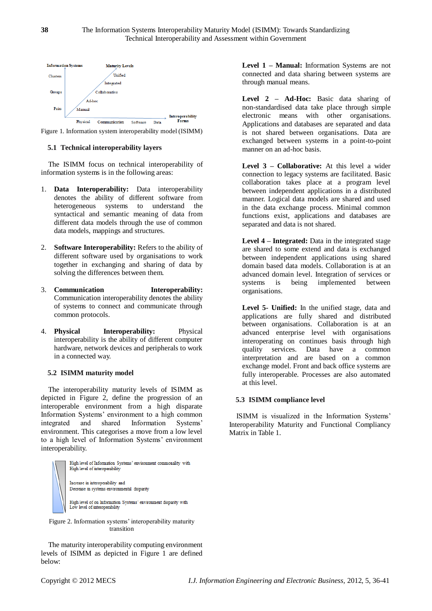



## **5.1 Technical interoperability layers**

The ISIMM focus on technical interoperability of information systems is in the following areas:

- 1. **Data Interoperability:** Data interoperability denotes the ability of different software from heterogeneous systems to understand the syntactical and semantic meaning of data from different data models through the use of common data models, mappings and structures.
- 2. **Software Interoperability:** Refers to the ability of different software used by organisations to work together in exchanging and sharing of data by solving the differences between them.
- 3. **Communication Interoperability:** Communication interoperability denotes the ability of systems to connect and communicate through common protocols.
- 4. **Physical Interoperability:** Physical interoperability is the ability of different computer hardware, network devices and peripherals to work in a connected way.

#### **5.2 ISIMM maturity model**

The interoperability maturity levels of ISIMM as depicted in Figure 2, define the progression of an interoperable environment from a high disparate Information Systems' environment to a high common integrated and shared Information Systems' environment. This categorises a move from a low level to a high level of Information Systems' environment interoperability.



Figure 2. Information systems' interoperability maturity transition

The maturity interoperability computing environment levels of ISIMM as depicted in Figure 1 are defined below:

**Level 1 – Manual:** Information Systems are not connected and data sharing between systems are through manual means.

**Level 2 – Ad-Hoc:** Basic data sharing of non-standardised data take place through simple electronic means with other organisations. Applications and databases are separated and data is not shared between organisations. Data are exchanged between systems in a point-to-point manner on an ad-hoc basis.

**Level 3 – Collaborative:** At this level a wider connection to legacy systems are facilitated. Basic collaboration takes place at a program level between independent applications in a distributed manner. Logical data models are shared and used in the data exchange process. Minimal common functions exist, applications and databases are separated and data is not shared.

**Level 4 – Integrated:** Data in the integrated stage are shared to some extend and data is exchanged between independent applications using shared domain based data models. Collaboration is at an advanced domain level. Integration of services or systems is being implemented between organisations.

**Level 5- Unified:** In the unified stage, data and applications are fully shared and distributed between organisations. Collaboration is at an advanced enterprise level with organisations interoperating on continues basis through high quality services. Data have a common interpretation and are based on a common exchange model. Front and back office systems are fully interoperable. Processes are also automated at this level.

#### **5.3 ISIMM compliance level**

ISIMM is visualized in the Information Systems' Interoperability Maturity and Functional Compliancy Matrix in Table 1.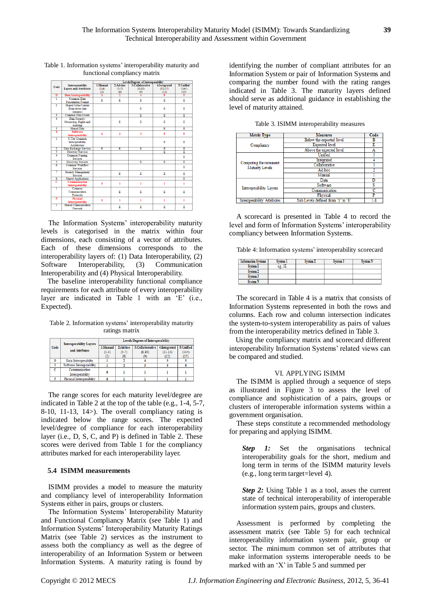| Code           | Interoperability                  | 1:Manual     | $2:Ad-hoc$     | 3:Collaborative | 4:Integrated            | 5:Unified |
|----------------|-----------------------------------|--------------|----------------|-----------------|-------------------------|-----------|
|                | <b>Lavers and Attributes</b>      | $(1-4)$      | $(5-7)$        | $(8-10)$        | $(11-13)$               | (14)      |
|                |                                   | (2)          | (6)            | (9)             | (12)                    | (15)      |
| D              | <b>Data Interoperability</b>      | T            | T              | 4               | τ                       | 5         |
| ī              | Common Data                       | E            | E              | Ē               | Ē                       | Ē         |
|                | <b>Presentation Format</b>        |              |                |                 |                         |           |
| 2              | Shared Meta-Content               |              |                |                 |                         |           |
|                | (Data about data                  |              |                | E               | E                       | E         |
|                | contents)                         |              |                |                 |                         |           |
| 3              | Common Data Model                 |              |                | Έ               | Έ                       | Έ         |
| 4              | Data Security:                    |              |                |                 |                         |           |
|                | Ownership, Rights and             |              | E              | E               | E                       | E         |
|                | Auditing                          |              |                |                 |                         |           |
| 5              | Shared Data                       |              |                |                 | Έ                       | Ē         |
| Ś              | <b>Software</b>                   | 1            | $\overline{2}$ | 3               | $\overline{\mathbf{5}}$ | 8         |
|                | Interoperability                  |              |                |                 |                         |           |
| 1              | N-Tier Common                     |              |                |                 |                         |           |
|                | Interoperability                  |              |                |                 | E                       | Ē         |
|                | Architecture                      |              |                |                 |                         |           |
| 2              | Data Exchange Services            | E            | E              | E               | E                       | E         |
| Ţ              | Directory Services                |              |                |                 | Ē                       | Ē         |
| 7              | Common Naming                     |              |                |                 |                         | Ė         |
|                | <b>Services</b>                   |              |                |                 |                         |           |
| 5              | <b>Discovery Services</b>         |              |                | Ē               | E                       | E         |
| $\overline{6}$ | Common Workflow                   |              |                |                 |                         | Ē         |
|                | <b>Services</b>                   |              |                |                 |                         |           |
|                | Security Management               |              | Ē              | Ē               | E                       | E         |
|                | <b>Services</b>                   |              |                |                 |                         |           |
| s<br>c         | <b>Shared Applications</b>        |              |                |                 |                         | Έ         |
|                | <b>Communication</b>              | $\mathbf{0}$ | ı              | ı               | ı                       | ı         |
| T              | <b>Interoperability</b><br>Common |              |                |                 |                         |           |
|                | Communication                     |              | Ē              | E               | Е                       | E         |
|                | Protocols                         |              |                |                 |                         |           |
| P              | <b>Physical</b>                   |              |                |                 |                         |           |
|                | <b>Interoperability</b>           | $\mathbf{0}$ | ı              | ī               | 1                       | 1         |
| Ŧ              | Shared Communication              |              |                |                 |                         |           |
|                | Network                           |              | E              | Е               | E                       | E         |
|                |                                   |              |                |                 |                         |           |

Table 1. Information systems' interoperability maturity and functional compliancy matrix

Levels/Degrees of Interoperability

The Information Systems' interoperability maturity levels is categorised in the matrix within four dimensions, each consisting of a vector of attributes. Each of these dimensions corresponds to the interoperability layers of: (1) Data Interoperability, (2) Software Interoperability, (3) Communication Interoperability and (4) Physical Interoperability.

The baseline interoperability functional compliance requirements for each attribute of every interoperability layer are indicated in Table 1 with an 'E' (i.e., Expected).

Table 2. Information systems' interoperability maturity ratings matrix

|      | <b>Interoperability Lavers</b><br>and Attributes | <b>Levels/Degrees of Interoperability</b> |          |                              |           |           |
|------|--------------------------------------------------|-------------------------------------------|----------|------------------------------|-----------|-----------|
| Code |                                                  | 1:Manual                                  | 2:Ad-hoc | 3:Collaborative 4:Integrated |           | 5:Unified |
|      |                                                  | $(1-4)$                                   | $(5-7)$  | $(8-10)$                     | $(11-13)$ | (14)      |
|      |                                                  | (2)                                       | (6)      |                              | (12)      | (15)      |
|      | Data Interoperability                            |                                           |          |                              |           |           |
|      | Software Interoperability                        |                                           |          |                              |           |           |
| c    | Communication                                    |                                           |          |                              |           |           |
|      | Interoperability                                 |                                           |          |                              |           |           |
|      | Physical Interoperability                        |                                           |          |                              |           |           |

The range scores for each maturity level/degree are indicated in Table 2 at the top of the table (e.g., 1-4, 5-7, 8-10, 11-13, 14>). The overall compliancy rating is indicated below the range scores. The expected level/degree of compliance for each interoperability layer (i.e., D, S, C, and P) is defined in Table 2. These scores were derived from Table 1 for the compliancy attributes marked for each interoperability layer.

#### **5.4 ISIMM measurements**

ISIMM provides a model to measure the maturity and compliancy level of interoperability Information Systems either in pairs, groups or clusters.

The Information Systems' Interoperability Maturity and Functional Compliancy Matrix (see Table 1) and Information Systems' Interoperability Maturity Ratings Matrix (see Table 2) services as the instrument to assess both the compliancy as well as the degree of interoperability of an Information System or between Information Systems. A maturity rating is found by

identifying the number of compliant attributes for an Information System or pair of Information Systems and comparing the number found with the rating ranges indicated in Table 3. The maturity layers defined should serve as additional guidance in establishing the level of maturity attained.

| <b>Metric Type</b>                              | <b>Measures</b>                    | Code |
|-------------------------------------------------|------------------------------------|------|
|                                                 | Below the expected level           | B    |
| Compliancy                                      | <b>Expected</b> level              | E    |
|                                                 | Above the expected level           | Α    |
|                                                 | Unified                            |      |
|                                                 | Integrated                         |      |
| <b>Computing Environment</b><br>Maturity Levels | Collaborative                      |      |
|                                                 | Ad-hoc                             |      |
|                                                 | Manual                             |      |
|                                                 | Data                               |      |
|                                                 | Software                           | Ś    |
| Interoperability Layers                         | Communication                      |      |
|                                                 | Physical                           | P    |
| Interoperability Attributes                     | Sub Levels defined from '1' to '8' | -8   |

Table 3. ISIMM interoperability measures

A scorecard is presented in Table 4 to record the level and form of Information Systems' interoperability compliancy between Information Systems.

Table 4: Information systems' interoperability scorecard

| Information Systems | System 1 | System 2 | System 3 | <b>System N</b> |
|---------------------|----------|----------|----------|-----------------|
| System 1            | e.g., 1E |          |          |                 |
| System 2            |          |          |          |                 |
| System 3            |          |          |          |                 |
| <b>System N</b>     |          |          |          |                 |

The scorecard in Table 4 is a matrix that consists of Information Systems represented in both the rows and columns. Each row and column intersection indicates the system-to-system interoperability as pairs of values from the interoperability metrics defined in Table 3.

Using the compliancy matrix and scorecard different interoperability Information Systems' related views can be compared and studied.

#### VI. APPLYING ISIMM

The ISIMM is applied through a sequence of steps as illustrated in Figure 3 to assess the level of compliance and sophistication of a pairs, groups or clusters of interoperable information systems within a government organisation.

These steps constitute a recommended methodology for preparing and applying ISIMM.

**Step 1:** Set the organisations technical interoperability goals for the short, medium and long term in terms of the ISIMM maturity levels (e.g., long term target=level 4).

*Step 2:* Using Table 1 as a tool, asses the current state of technical interoperability of interoperable information system pairs, groups and clusters.

Assessment is performed by completing the assessment matrix (see Table 5) for each technical interoperability information system pair, group or sector. The minimum common set of attributes that make information systems interoperable needs to be marked with an 'X' in Table 5 and summed per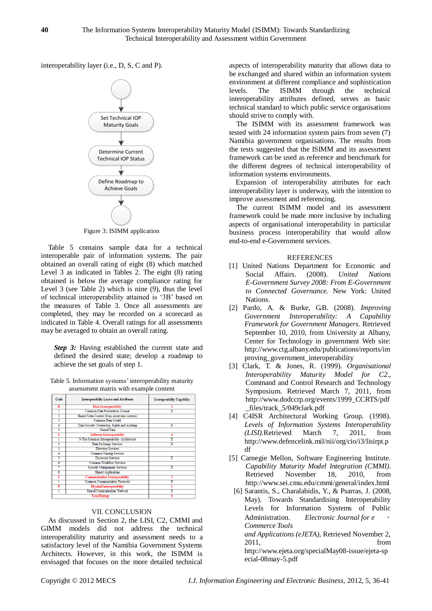interoperability layer (i.e., D, S, C and P).



Figure 3: ISIMM application

Table 5 contains sample data for a technical interoperable pair of information systems. The pair obtained an overall rating of eight (8) which matched Level 3 as indicated in Tables 2. The eight (8) rating obtained is below the average compliance rating for Level 3 (see Table 2) which is nine (9), thus the level of technical interoperability attained is '3B' based on the measures of Table 3. Once all assessments are completed, they may be recorded on a scorecard as indicated in Table 4. Overall ratings for all assessments may be averaged to obtain an overall rating.

**Step 3:** Having established the current state and defined the desired state; develop a roadmap to achieve the set goals of step 1.

Table 5. Information systems' interoperability maturity assessment matrix with example content

| Code                    | <b>Interoperability Layers and Attributes</b>  | <b>Interoperability Capability</b> |  |
|-------------------------|------------------------------------------------|------------------------------------|--|
| D                       | Data Interoperability                          |                                    |  |
|                         | <b>Common Data Presentation Format</b>         | $\overline{\text{x}}$              |  |
|                         | Shared Meta-Content (Data about data contents) |                                    |  |
| 3                       | Common Data Model                              |                                    |  |
| 4                       | Data Security: Ownership, Rights and Auditing  | x                                  |  |
| 5                       | <b>Shared Data</b>                             |                                    |  |
| s                       | <b>Software Interoperability</b>               |                                    |  |
|                         | N-Tier Common Interoperability Architecture    | $_{\rm x}$                         |  |
| 2                       | Data Exchange Services                         | $\overline{\mathbf{x}}$            |  |
| ٦                       | <b>Directory Services</b>                      |                                    |  |
| 4                       | <b>Common Naming Services</b>                  |                                    |  |
| 5                       | <b>Discovery Services</b>                      | $\overline{\mathbf{x}}$            |  |
| 6                       | <b>Common Workflow Services</b>                |                                    |  |
|                         | <b>Security Management Services</b>            | x                                  |  |
| $\overline{\mathbf{s}}$ | <b>Shared Applications</b>                     |                                    |  |
| c                       | <b>Communication Interoperability</b>          |                                    |  |
|                         | <b>Common Communication Protocols</b>          | X                                  |  |
| P                       | <b>Physical Interoperability</b>               |                                    |  |
|                         | <b>Shared Communication Network</b>            | Χ                                  |  |
|                         |                                                |                                    |  |
|                         |                                                |                                    |  |

## VII. CONCLUSION

As discussed in Section 2, the LISI, C2, CMMI and GIMM models did not address the technical interoperability maturity and assessment needs to a satisfactory level of the Namibia Government Systems Architects. However, in this work, the ISIMM is envisaged that focuses on the more detailed technical

aspects of interoperability maturity that allows data to be exchanged and shared within an information system environment at different compliance and sophistication<br>levels. The ISIMM through the technical The ISIMM through the technical interoperability attributes defined, serves as basic technical standard to which public service organisations should strive to comply with.

The ISIMM with its assessment framework was tested with 24 information system pairs from seven (7) Namibia government organisations. The results from the tests suggested that the ISIMM and its assessment framework can be used as reference and benchmark for the different degrees of technical interoperability of information systems environments.

Expansion of interoperability attributes for each interoperability layer is underway, with the intention to improve assessment and referencing.

The current ISIMM model and its assessment framework could be made more inclusive by including aspects of organisational interoperability in particular business process interoperability that would allow end-to-end e-Government services.

## REFERENCES

- [1] United Nations Department for Economic and Social Affairs. (2008). *United Nations E-Government Survey 2008: From E-Government to Connected Governance.* New York: United Nations.
- [2] Pardo, A. & Burke, G.B. (2008). *Improving Government Interoperability: A Capability Framework for Government Managers.* Retrieved September 10, 2010, from University at Albany, Center for Technology in government Web site: http://www.ctg.albany.edu/publications/reports/im proving\_government\_interoperability
- [3] Clark, T. & Jones, R. (1999). *Organisational Interoperability Maturity Model for C2.,* Command and Control Research and Technology Symposium. Retrieved March 7, 2011, from [http://www.dodccrp.org/events/1999\\_CCRTS/pdf](http://www.dodccrp.org/events/1999_CCRTS/pdf_files/track_5/049clark.pdf) [\\_files/track\\_5/049clark.pdf](http://www.dodccrp.org/events/1999_CCRTS/pdf_files/track_5/049clark.pdf)
- [4] C4ISR Architectural Working Group. (1998). *Levels of Information Systems Interoperability (LISI).*Retrieved March 7, 2011, from [http://www.defencelink.mil/nii/org/cio/i3/lisirpt.p](http://www.defencelink.mil/nii/org/cio/i3/lisirpt.pdf) [df](http://www.defencelink.mil/nii/org/cio/i3/lisirpt.pdf)
- [5] Carnegie Mellon, Software Engineering Institute. *Capability Maturity Model Integration (CMMI)*. Retrieved November 18, 2010, from http://www.sei.cmu.edu/cmmi/general/index.html
- [6] Sarantis, S., Charalabidis, Y., & Psarras, J. (2008, May). Towards Standardising Interoperability Levels for Information Systems of Public Administration. *Electronic Journal for e Commerce Tools*

*and Applications (eJETA)*, Retrieved November 2, 2011, from [http://www.ejeta.org/specialMay08-issue/ejeta-sp](http://www.ejeta.org/specialMay08-issue/ejeta-special-08may-5.pdf) [ecial-08may-5.pdf](http://www.ejeta.org/specialMay08-issue/ejeta-special-08may-5.pdf)